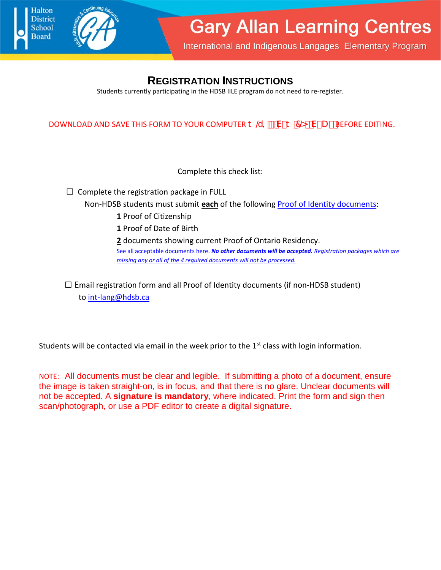



International and Indigenous Langages Elementary Program

## **REGISTRATION INSTRUCTIONS**

Students currently participating in the HDSB IILE program do not need to re-register.

DOWNLOAD AND SAVE THIS FORM TO YOUR COMPUTER  $\ddagger$  @=  $\degree$  V- $\ddagger$  7@ V $\degree$  U - BEFORE EDITING.

Complete this check list:

☐ Complete the registration package in FULL

Non-HDSB students must submit **each** of the following Proof of Identity documents:

- **1** Proof of Citizenship
- **1** Proof of Date of Birth
- **2** documents showing current Proof of Ontario Residency.

See all acceptable documents here. *No other documents will be accepted. Registration packages which are missing any or all of the 4 required documents will not be processed.*

 $\Box$  Email registration form and all Proof of Identity documents (if non-HDSB student) to int-lang@hdsb.ca

Students will be contacted via email in the week prior to the  $1<sup>st</sup>$  class with login information.

NOTE: All documents must be clear and legible. If submitting a photo of a document, ensure the image is taken straight-on, is in focus, and that there is no glare. Unclear documents will not be accepted. A **signature is mandatory**, where indicated. Print the form and sign then scan/photograph, or use a PDF editor to create a digital signature.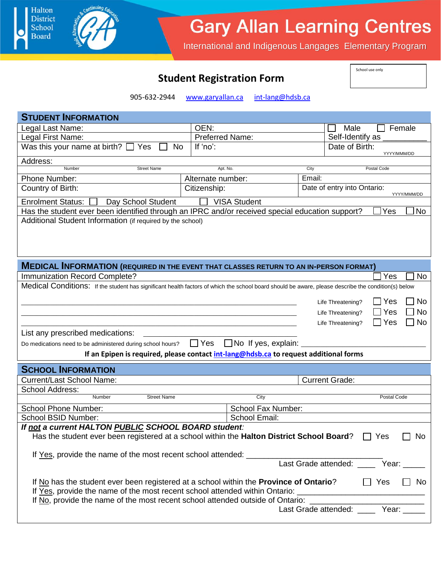## **Gary Allan Learning Centres**

International and Indigenous Langages Elementary Program

|  | <b>Student Registration Form</b> |  |
|--|----------------------------------|--|
|--|----------------------------------|--|

Halton **District** 

School **Board** 

School use only

905-632-2944 www.garyallan.ca int-lang@hdsb.ca

| <b>STUDENT INFORMATION</b>                                                                                                                                                                                      |                                                                                       |                       |                                        |                  |
|-----------------------------------------------------------------------------------------------------------------------------------------------------------------------------------------------------------------|---------------------------------------------------------------------------------------|-----------------------|----------------------------------------|------------------|
| Legal Last Name:                                                                                                                                                                                                | OEN:                                                                                  |                       | Male                                   | Female           |
| Legal First Name:                                                                                                                                                                                               | <b>Preferred Name:</b>                                                                |                       | Self-Identify as                       |                  |
| Was this your name at birth? $\Box$ Yes<br><b>No</b>                                                                                                                                                            | If 'no':                                                                              |                       | Date of Birth:                         | YYYY/MMM/DD      |
| Address:                                                                                                                                                                                                        |                                                                                       |                       |                                        |                  |
| <b>Street Name</b><br>Number                                                                                                                                                                                    | Apt. No.                                                                              | City                  | Postal Code                            |                  |
| Phone Number:                                                                                                                                                                                                   | Alternate number:                                                                     | Email:                | Date of entry into Ontario:            |                  |
| Country of Birth:                                                                                                                                                                                               | Citizenship:                                                                          |                       |                                        | YYYY/MMM/DD      |
| <b>Enrolment Status:</b><br>Day School Student                                                                                                                                                                  | <b>VISA Student</b>                                                                   |                       |                                        |                  |
| Has the student ever been identified through an IPRC and/or received special education support?<br>Additional Student Information (if required by the school)                                                   |                                                                                       |                       |                                        | <b>No</b><br>Yes |
|                                                                                                                                                                                                                 |                                                                                       |                       |                                        |                  |
| <b>MEDICAL INFORMATION (REQUIRED IN THE EVENT THAT CLASSES RETURN TO AN IN-PERSON FORMAT)</b>                                                                                                                   |                                                                                       |                       |                                        |                  |
| Immunization Record Complete?                                                                                                                                                                                   |                                                                                       |                       |                                        | Yes<br><b>No</b> |
| Medical Conditions: If the student has significant health factors of which the school board should be aware, please describe the condition(s) below                                                             |                                                                                       |                       |                                        |                  |
|                                                                                                                                                                                                                 |                                                                                       |                       | Life Threatening?                      | Yes<br>No        |
|                                                                                                                                                                                                                 |                                                                                       |                       | Life Threatening?                      | No<br>Yes        |
|                                                                                                                                                                                                                 |                                                                                       |                       | Life Threatening?                      | <b>No</b><br>Yes |
| List any prescribed medications:                                                                                                                                                                                |                                                                                       |                       |                                        |                  |
| Do medications need to be administered during school hours?                                                                                                                                                     | $\Box$ Yes $\Box$ No If yes, explain:                                                 |                       |                                        |                  |
|                                                                                                                                                                                                                 | If an Epipen is required, please contact int-lang@hdsb.ca to request additional forms |                       |                                        |                  |
|                                                                                                                                                                                                                 |                                                                                       |                       |                                        |                  |
| <b>SCHOOL INFORMATION</b>                                                                                                                                                                                       |                                                                                       |                       |                                        |                  |
| <b>Current/Last School Name:</b>                                                                                                                                                                                |                                                                                       | <b>Current Grade:</b> |                                        |                  |
| School Address:                                                                                                                                                                                                 |                                                                                       |                       |                                        |                  |
| <b>Street Name</b><br>Number                                                                                                                                                                                    | City                                                                                  |                       |                                        | Postal Code      |
| <b>School Phone Number:</b>                                                                                                                                                                                     | School Fax Number:                                                                    |                       |                                        |                  |
| School BSID Number:                                                                                                                                                                                             | School Email:                                                                         |                       |                                        |                  |
| If not a current HALTON PUBLIC SCHOOL BOARD student:<br>Has the student ever been registered at a school within the <b>Halton District School Board</b> ? $\Box$ Yes $\Box$ No                                  |                                                                                       |                       |                                        |                  |
|                                                                                                                                                                                                                 |                                                                                       |                       |                                        |                  |
| If Yes, provide the name of the most recent school attended: ____________________                                                                                                                               |                                                                                       |                       |                                        |                  |
|                                                                                                                                                                                                                 |                                                                                       |                       | Last Grade attended: _____ Year: _____ |                  |
|                                                                                                                                                                                                                 |                                                                                       |                       |                                        |                  |
| If No has the student ever been registered at a school within the <b>Province of Ontario</b> ?<br>If Yes, provide the name of the most recent school attended within Ontario: _________________________________ |                                                                                       |                       | $\Box$ Yes                             | $\Box$ No        |
| If No, provide the name of the most recent school attended outside of Ontario: ______________________________                                                                                                   |                                                                                       |                       |                                        |                  |
|                                                                                                                                                                                                                 |                                                                                       |                       | Last Grade attended: _____ Year: ____  |                  |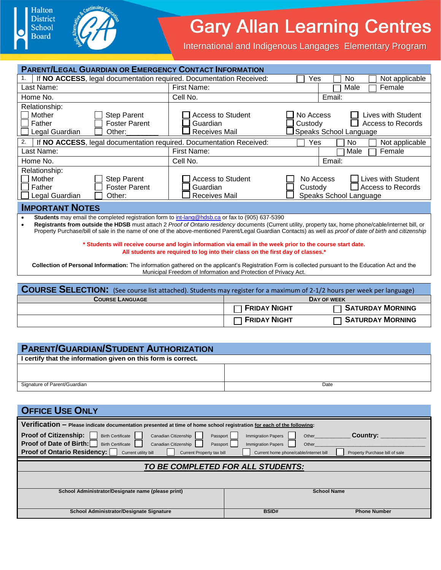



## **Gary Allan Learning Centres**

International and Indigenous Langages Elementary Program

| <b>PARENT/LEGAL GUARDIAN OR EMERGENCY CONTACT INFORMATION</b>                                                                  |                                                                                                            |                                                                                                                                                            |
|--------------------------------------------------------------------------------------------------------------------------------|------------------------------------------------------------------------------------------------------------|------------------------------------------------------------------------------------------------------------------------------------------------------------|
| If NO ACCESS, legal documentation required. Documentation Received:<br>1.                                                      |                                                                                                            | Not applicable<br>Yes<br>N <sub>0</sub>                                                                                                                    |
| Last Name:                                                                                                                     | First Name:                                                                                                | Male<br>Female                                                                                                                                             |
| Home No.                                                                                                                       | Cell No.                                                                                                   | Email:                                                                                                                                                     |
| Relationship:                                                                                                                  |                                                                                                            |                                                                                                                                                            |
| Mother<br><b>Step Parent</b>                                                                                                   | Access to Student                                                                                          | No Access<br>Lives with Student                                                                                                                            |
| Father<br><b>Foster Parent</b>                                                                                                 | Guardian                                                                                                   | Custody<br><b>Access to Records</b>                                                                                                                        |
| Legal Guardian<br>Other:                                                                                                       | <b>Receives Mail</b>                                                                                       | Speaks School Language                                                                                                                                     |
| 2.<br>If NO ACCESS, legal documentation required. Documentation Received:                                                      |                                                                                                            | Yes<br>Not applicable<br>No                                                                                                                                |
| Last Name:                                                                                                                     | First Name:                                                                                                | Male<br>Female                                                                                                                                             |
| Home No.                                                                                                                       | Cell No.                                                                                                   | Email:                                                                                                                                                     |
| Relationship:                                                                                                                  |                                                                                                            |                                                                                                                                                            |
| Mother<br><b>Step Parent</b>                                                                                                   | <b>Access to Student</b>                                                                                   | No Access<br>Lives with Student                                                                                                                            |
| Father<br><b>Foster Parent</b>                                                                                                 | Guardian                                                                                                   | <b>Access to Records</b><br>Custody                                                                                                                        |
| Legal Guardian<br>Other:                                                                                                       | Receives Mail                                                                                              | Speaks School Language                                                                                                                                     |
|                                                                                                                                |                                                                                                            |                                                                                                                                                            |
| <b>IMPORTANT NOTES</b>                                                                                                         |                                                                                                            |                                                                                                                                                            |
| Students may email the completed registration form to int-lang@hdsb.ca or fax to (905) 637-5390                                |                                                                                                            |                                                                                                                                                            |
|                                                                                                                                |                                                                                                            | Registrants from outside the HDSB must attach 2 Proof of Ontario residency documents (Current utility, property tax, home phone/cable/internet bill, or    |
|                                                                                                                                |                                                                                                            | Property Purchase/bill of sale in the name of one of the above-mentioned Parent/Legal Guardian Contacts) as well as proof of date of birth and citizenship |
|                                                                                                                                | * Students will receive course and login information via email in the week prior to the course start date. |                                                                                                                                                            |
|                                                                                                                                | All students are required to log into their class on the first day of classes.*                            |                                                                                                                                                            |
|                                                                                                                                |                                                                                                            | Collection of Personal Information: The information gathered on the applicant's Registration Form is collected pursuant to the Education Act and the       |
|                                                                                                                                | Municipal Freedom of Information and Protection of Privacy Act.                                            |                                                                                                                                                            |
|                                                                                                                                |                                                                                                            |                                                                                                                                                            |
| <b>COURSE SELECTION:</b> (See course list attached). Students may register for a maximum of 2-1/2 hours per week per language) |                                                                                                            |                                                                                                                                                            |
| <b>COURSE LANGUAGE</b>                                                                                                         |                                                                                                            | DAY OF WEEK                                                                                                                                                |
|                                                                                                                                | <b>FRIDAY NIGHT</b>                                                                                        | <b>SATURDAY MORNING</b>                                                                                                                                    |
|                                                                                                                                | <b>FRIDAY NIGHT</b>                                                                                        | <b>SATURDAY MORNING</b>                                                                                                                                    |

| <b>PARENT/GUARDIAN/STUDENT AUTHORIZATION</b>                  |      |
|---------------------------------------------------------------|------|
| I certify that the information given on this form is correct. |      |
|                                                               |      |
|                                                               |      |
| Signature of Parent/Guardian                                  | Date |

| <b>OFFICE USE ONLY</b>                                                                                                                                                                                                                                                                                                                                                                                                                                          |              |                     |
|-----------------------------------------------------------------------------------------------------------------------------------------------------------------------------------------------------------------------------------------------------------------------------------------------------------------------------------------------------------------------------------------------------------------------------------------------------------------|--------------|---------------------|
| Verification - Please indicate documentation presented at time of home school registration for each of the following:                                                                                                                                                                                                                                                                                                                                           |              |                     |
| <b>Proof of Citizenship:</b><br><b>Birth Certificate</b><br><b>Country:</b><br>Canadian Citizenship<br><b>Immigration Papers</b><br>Passport<br>Other<br>Proof of Date of Birth:<br><b>Birth Certificate</b><br>Canadian Citizenship<br><b>Immigration Papers</b><br>Other<br>Passport  <br><b>Proof of Ontario Residency:</b><br>Current utility bill<br>Current Property tax bill<br>Current home phone/cable/internet bill<br>Property Purchase bill of sale |              |                     |
| TO BE COMPLETED FOR ALL STUDENTS:                                                                                                                                                                                                                                                                                                                                                                                                                               |              |                     |
|                                                                                                                                                                                                                                                                                                                                                                                                                                                                 |              |                     |
| School Administrator/Designate name (please print)<br><b>School Name</b>                                                                                                                                                                                                                                                                                                                                                                                        |              |                     |
| School Administrator/Designate Signature                                                                                                                                                                                                                                                                                                                                                                                                                        | <b>BSID#</b> | <b>Phone Number</b> |